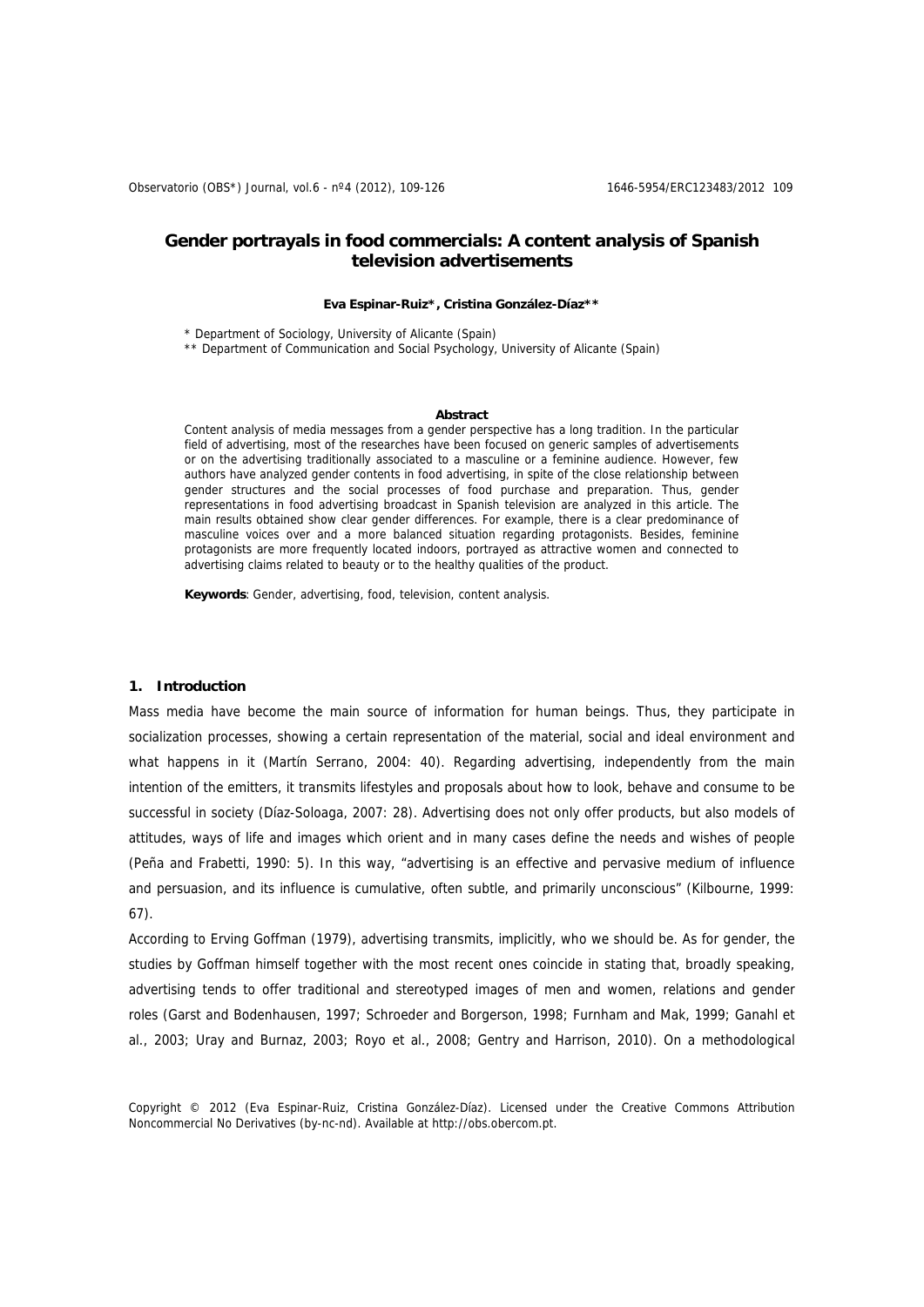# **Gender portrayals in food commercials: A content analysis of Spanish television advertisements**

#### **Eva Espinar-Ruiz\*, Cristina González-Díaz\*\***

\* Department of Sociology, University of Alicante (Spain)

\*\* Department of Communication and Social Psychology, University of Alicante (Spain)

#### **Abstract**

Content analysis of media messages from a gender perspective has a long tradition. In the particular field of advertising, most of the researches have been focused on generic samples of advertisements or on the advertising traditionally associated to a masculine or a feminine audience. However, few authors have analyzed gender contents in food advertising, in spite of the close relationship between gender structures and the social processes of food purchase and preparation. Thus, gender representations in food advertising broadcast in Spanish television are analyzed in this article. The main results obtained show clear gender differences. For example, there is a clear predominance of masculine voices over and a more balanced situation regarding protagonists. Besides, feminine protagonists are more frequently located indoors, portrayed as attractive women and connected to advertising claims related to beauty or to the healthy qualities of the product.

**Keywords**: Gender, advertising, food, television, content analysis.

## **1. Introduction**

Mass media have become the main source of information for human beings. Thus, they participate in socialization processes, showing a certain representation of the material, social and ideal environment and what happens in it (Martín Serrano, 2004: 40). Regarding advertising, independently from the main intention of the emitters, it transmits lifestyles and proposals about how to look, behave and consume to be successful in society (Díaz-Soloaga, 2007: 28). Advertising does not only offer products, but also models of attitudes, ways of life and images which orient and in many cases define the needs and wishes of people (Peña and Frabetti, 1990: 5). In this way, "advertising is an effective and pervasive medium of influence and persuasion, and its influence is cumulative, often subtle, and primarily unconscious" (Kilbourne, 1999: 67).

According to Erving Goffman (1979), advertising transmits, implicitly, who we should be. As for gender, the studies by Goffman himself together with the most recent ones coincide in stating that, broadly speaking, advertising tends to offer traditional and stereotyped images of men and women, relations and gender roles (Garst and Bodenhausen, 1997; Schroeder and Borgerson, 1998; Furnham and Mak, 1999; Ganahl et al., 2003; Uray and Burnaz, 2003; Royo et al., 2008; Gentry and Harrison, 2010). On a methodological

Copyright © 2012 (Eva Espinar-Ruiz, Cristina González-Díaz). Licensed under the Creative Commons Attribution Noncommercial No Derivatives (by-nc-nd). Available at http://obs.obercom.pt.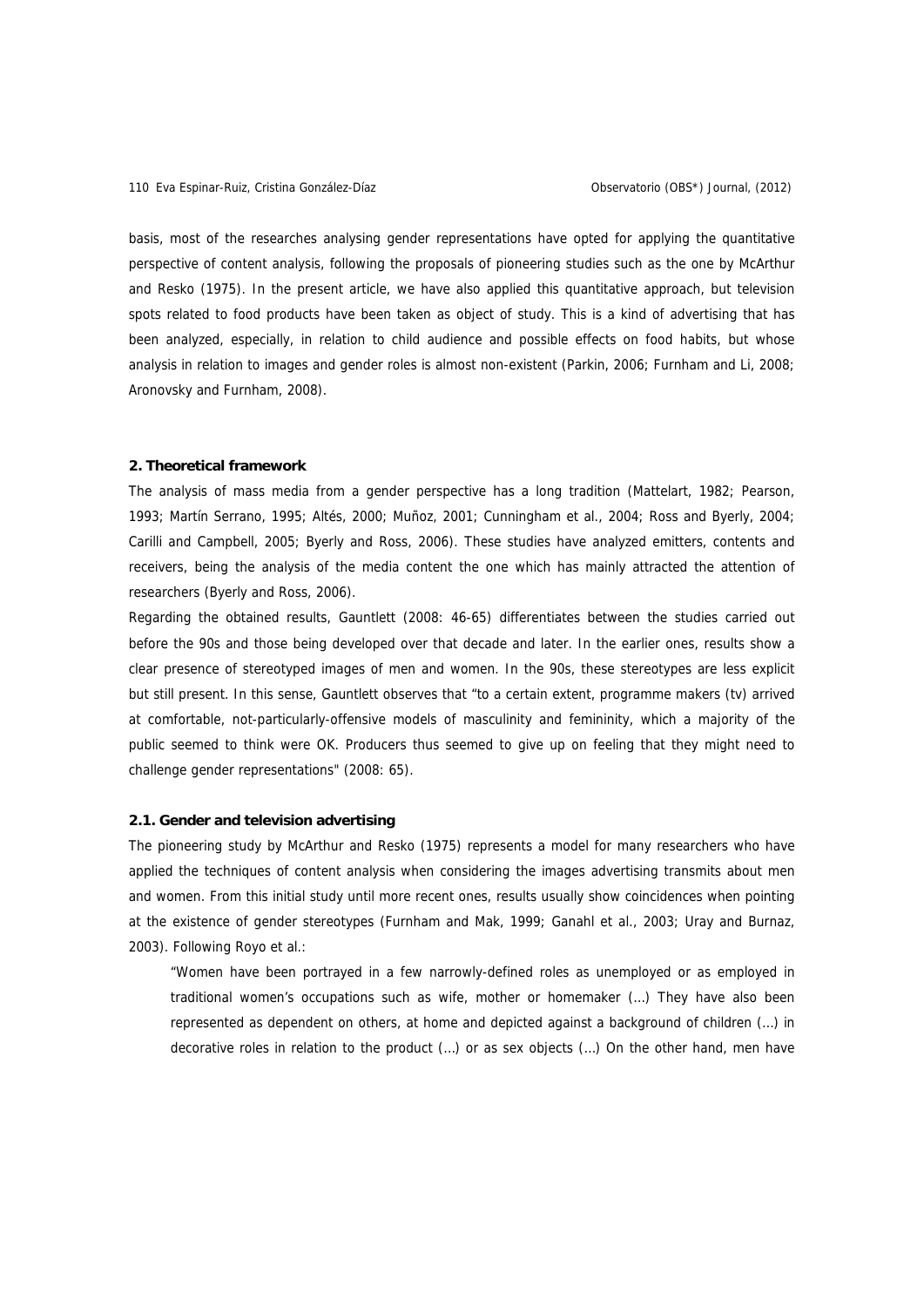basis, most of the researches analysing gender representations have opted for applying the quantitative perspective of content analysis, following the proposals of pioneering studies such as the one by McArthur and Resko (1975). In the present article, we have also applied this quantitative approach, but television spots related to food products have been taken as object of study. This is a kind of advertising that has been analyzed, especially, in relation to child audience and possible effects on food habits, but whose analysis in relation to images and gender roles is almost non-existent (Parkin, 2006; Furnham and Li, 2008; Aronovsky and Furnham, 2008).

## **2. Theoretical framework**

The analysis of mass media from a gender perspective has a long tradition (Mattelart, 1982; Pearson, 1993; Martín Serrano, 1995; Altés, 2000; Muñoz, 2001; Cunningham et al., 2004; Ross and Byerly, 2004; Carilli and Campbell, 2005; Byerly and Ross, 2006). These studies have analyzed emitters, contents and receivers, being the analysis of the media content the one which has mainly attracted the attention of researchers (Byerly and Ross, 2006).

Regarding the obtained results, Gauntlett (2008: 46-65) differentiates between the studies carried out before the 90s and those being developed over that decade and later. In the earlier ones, results show a clear presence of stereotyped images of men and women. In the 90s, these stereotypes are less explicit but still present. In this sense, Gauntlett observes that "to a certain extent, programme makers (tv) arrived at comfortable, not-particularly-offensive models of masculinity and femininity, which a majority of the public seemed to think were OK. Producers thus seemed to give up on feeling that they might need to challenge gender representations" (2008: 65).

## **2.1. Gender and television advertising**

The pioneering study by McArthur and Resko (1975) represents a model for many researchers who have applied the techniques of content analysis when considering the images advertising transmits about men and women. From this initial study until more recent ones, results usually show coincidences when pointing at the existence of gender stereotypes (Furnham and Mak, 1999; Ganahl et al., 2003; Uray and Burnaz, 2003). Following Royo et al.:

"Women have been portrayed in a few narrowly-defined roles as unemployed or as employed in traditional women's occupations such as wife, mother or homemaker (…) They have also been represented as dependent on others, at home and depicted against a background of children (…) in decorative roles in relation to the product (…) or as sex objects (…) On the other hand, men have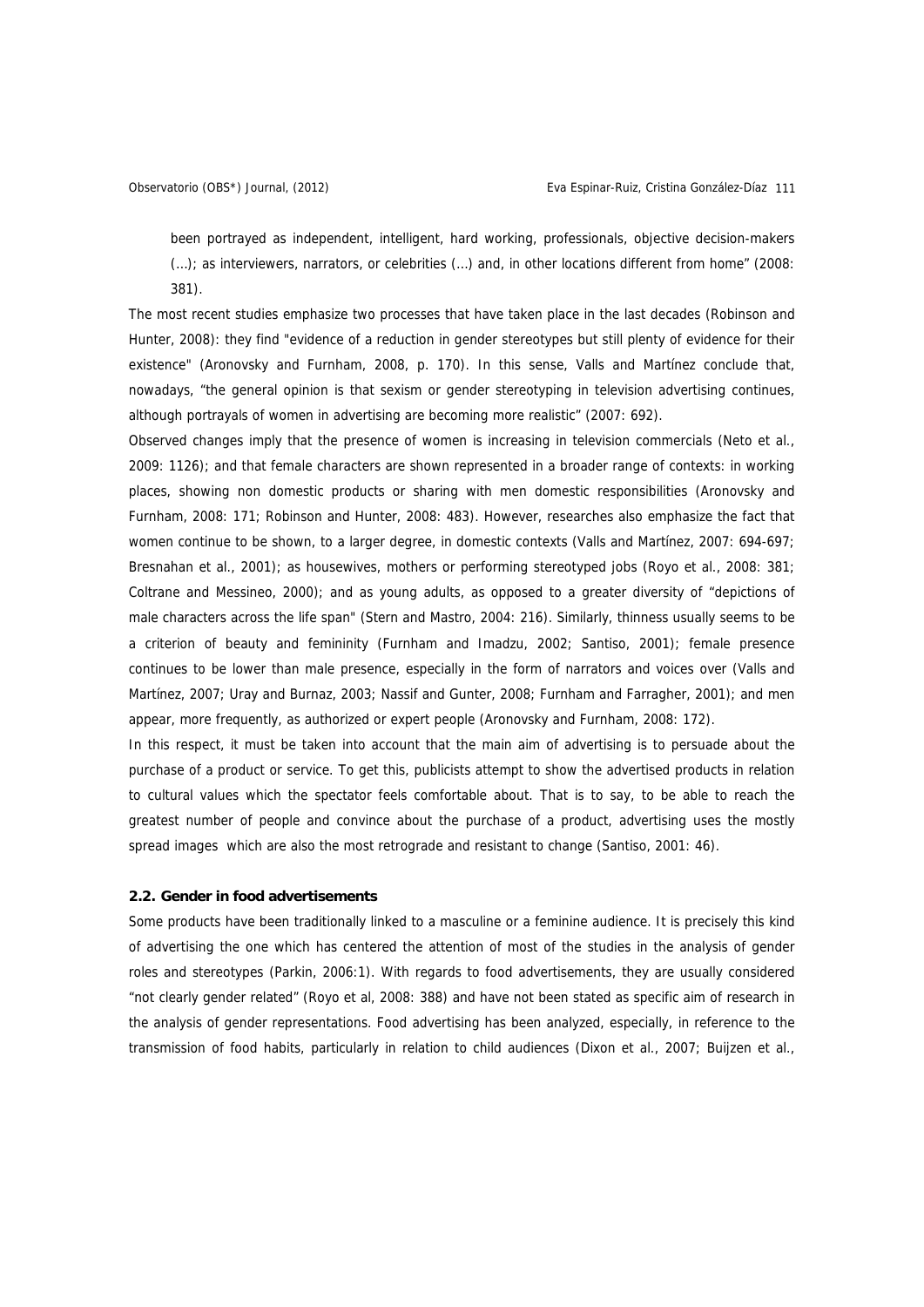been portrayed as independent, intelligent, hard working, professionals, objective decision-makers (…); as interviewers, narrators, or celebrities (…) and, in other locations different from home" (2008: 381).

The most recent studies emphasize two processes that have taken place in the last decades (Robinson and Hunter, 2008): they find "evidence of a reduction in gender stereotypes but still plenty of evidence for their existence" (Aronovsky and Furnham, 2008, p. 170). In this sense, Valls and Martínez conclude that, nowadays, "the general opinion is that sexism or gender stereotyping in television advertising continues, although portrayals of women in advertising are becoming more realistic" (2007: 692).

Observed changes imply that the presence of women is increasing in television commercials (Neto et al., 2009: 1126); and that female characters are shown represented in a broader range of contexts: in working places, showing non domestic products or sharing with men domestic responsibilities (Aronovsky and Furnham, 2008: 171; Robinson and Hunter, 2008: 483). However, researches also emphasize the fact that women continue to be shown, to a larger degree, in domestic contexts (Valls and Martínez, 2007: 694-697; Bresnahan et al., 2001); as housewives, mothers or performing stereotyped jobs (Royo et al., 2008: 381; Coltrane and Messineo, 2000); and as young adults, as opposed to a greater diversity of "depictions of male characters across the life span" (Stern and Mastro, 2004: 216). Similarly, thinness usually seems to be a criterion of beauty and femininity (Furnham and Imadzu, 2002; Santiso, 2001); female presence continues to be lower than male presence, especially in the form of narrators and voices over (Valls and Martínez, 2007; Uray and Burnaz, 2003; Nassif and Gunter, 2008; Furnham and Farragher, 2001); and men appear, more frequently, as authorized or expert people (Aronovsky and Furnham, 2008: 172).

In this respect, it must be taken into account that the main aim of advertising is to persuade about the purchase of a product or service. To get this, publicists attempt to show the advertised products in relation to cultural values which the spectator feels comfortable about. That is to say, to be able to reach the greatest number of people and convince about the purchase of a product, advertising uses the mostly spread images which are also the most retrograde and resistant to change (Santiso, 2001: 46).

## **2.2. Gender in food advertisements**

Some products have been traditionally linked to a masculine or a feminine audience. It is precisely this kind of advertising the one which has centered the attention of most of the studies in the analysis of gender roles and stereotypes (Parkin, 2006:1). With regards to food advertisements, they are usually considered "not clearly gender related" (Royo et al, 2008: 388) and have not been stated as specific aim of research in the analysis of gender representations. Food advertising has been analyzed, especially, in reference to the transmission of food habits, particularly in relation to child audiences (Dixon et al., 2007; Buijzen et al.,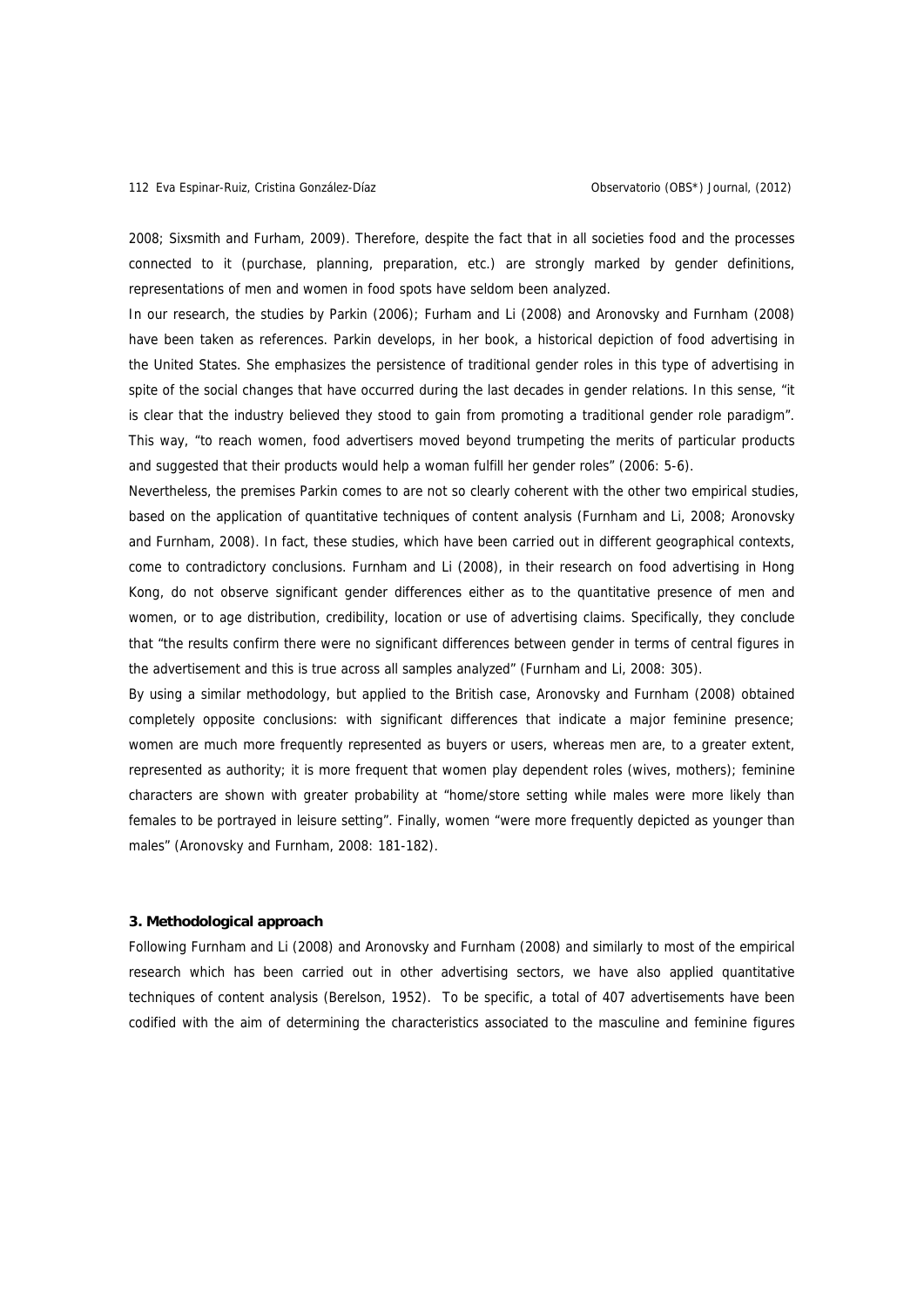2008; Sixsmith and Furham, 2009). Therefore, despite the fact that in all societies food and the processes connected to it (purchase, planning, preparation, etc.) are strongly marked by gender definitions, representations of men and women in food spots have seldom been analyzed.

In our research, the studies by Parkin (2006); Furham and Li (2008) and Aronovsky and Furnham (2008) have been taken as references. Parkin develops, in her book, a historical depiction of food advertising in the United States. She emphasizes the persistence of traditional gender roles in this type of advertising in spite of the social changes that have occurred during the last decades in gender relations. In this sense, "it is clear that the industry believed they stood to gain from promoting a traditional gender role paradigm". This way, "to reach women, food advertisers moved beyond trumpeting the merits of particular products and suggested that their products would help a woman fulfill her gender roles" (2006: 5-6).

Nevertheless, the premises Parkin comes to are not so clearly coherent with the other two empirical studies, based on the application of quantitative techniques of content analysis (Furnham and Li, 2008; Aronovsky and Furnham, 2008). In fact, these studies, which have been carried out in different geographical contexts, come to contradictory conclusions. Furnham and Li (2008), in their research on food advertising in Hong Kong, do not observe significant gender differences either as to the quantitative presence of men and women, or to age distribution, credibility, location or use of advertising claims. Specifically, they conclude that "the results confirm there were no significant differences between gender in terms of central figures in the advertisement and this is true across all samples analyzed" (Furnham and Li, 2008: 305).

By using a similar methodology, but applied to the British case, Aronovsky and Furnham (2008) obtained completely opposite conclusions: with significant differences that indicate a major feminine presence; women are much more frequently represented as buyers or users, whereas men are, to a greater extent, represented as authority; it is more frequent that women play dependent roles (wives, mothers); feminine characters are shown with greater probability at "home/store setting while males were more likely than females to be portrayed in leisure setting". Finally, women "were more frequently depicted as younger than males" (Aronovsky and Furnham, 2008: 181-182).

## **3. Methodological approach**

Following Furnham and Li (2008) and Aronovsky and Furnham (2008) and similarly to most of the empirical research which has been carried out in other advertising sectors, we have also applied quantitative techniques of content analysis (Berelson, 1952). To be specific, a total of 407 advertisements have been codified with the aim of determining the characteristics associated to the masculine and feminine figures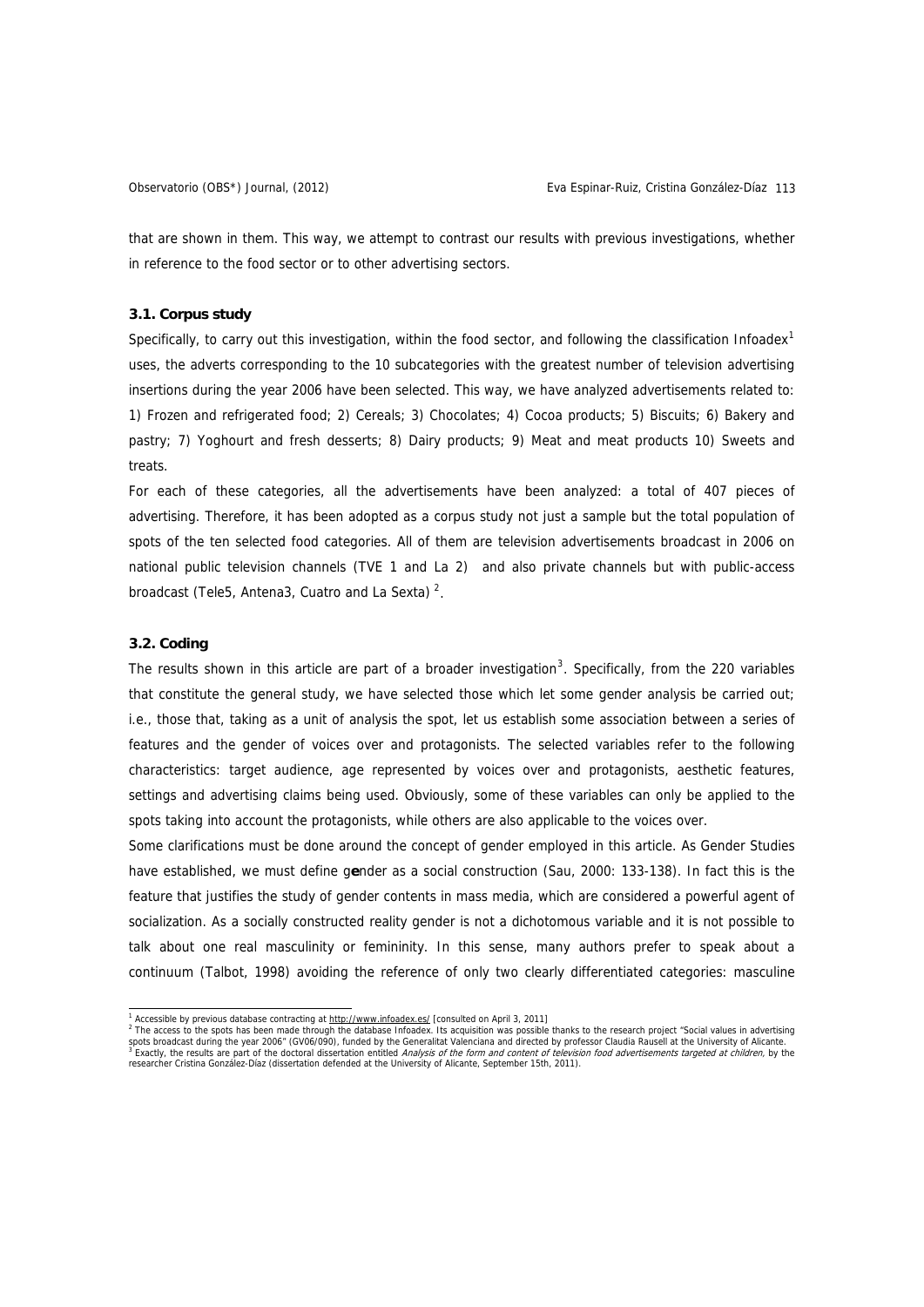that are shown in them. This way, we attempt to contrast our results with previous investigations, whether in reference to the food sector or to other advertising sectors.

# **3.1. Corpus study**

Specifically, to carry out this investigation, within the food sector, and following the classification Infoadex<sup>[1](#page-4-0)</sup> uses, the adverts corresponding to the 10 subcategories with the greatest number of television advertising insertions during the year 2006 have been selected. This way, we have analyzed advertisements related to: 1) Frozen and refrigerated food; 2) Cereals; 3) Chocolates; 4) Cocoa products; 5) Biscuits; 6) Bakery and pastry; 7) Yoghourt and fresh desserts; 8) Dairy products; 9) Meat and meat products 10) Sweets and treats.

For each of these categories, all the advertisements have been analyzed: a total of 407 pieces of advertising. Therefore, it has been adopted as a corpus study not just a sample but the total population of spots of the ten selected food categories. All of them are television advertisements broadcast in 2006 on national public television channels (TVE 1 and La 2) and also private channels but with public-access broadcast (Tele5, Antena3, Cuatro and La Sexta)<sup>[2](#page-4-1)</sup>.

## **3.2. Coding**

The results shown in this article are part of a broader investigation<sup>[3](#page-4-2)</sup>. Specifically, from the 220 variables that constitute the general study, we have selected those which let some gender analysis be carried out; i.e., those that, taking as a unit of analysis the spot, let us establish some association between a series of features and the gender of voices over and protagonists. The selected variables refer to the following characteristics: target audience, age represented by voices over and protagonists, aesthetic features, settings and advertising claims being used. Obviously, some of these variables can only be applied to the spots taking into account the protagonists, while others are also applicable to the voices over.

Some clarifications must be done around the concept of gender employed in this article. As Gender Studies have established, we must define g**e**nder as a social construction (Sau, 2000: 133-138). In fact this is the feature that justifies the study of gender contents in mass media, which are considered a powerful agent of socialization. As a socially constructed reality gender is not a dichotomous variable and it is not possible to talk about one real masculinity or femininity. In this sense, many authors prefer to speak about a continuum (Talbot, 1998) avoiding the reference of only two clearly differentiated categories: masculine

<sup>&</sup>lt;sup>1</sup> Accessible by previous database contracting at<http://www.infoadex.es/> [consulted on April 3, 2011]<br><sup>2</sup> The access to the spots has been made through the database Infeadex. Its acquisition was possible

<span id="page-4-2"></span><span id="page-4-1"></span><span id="page-4-0"></span>The access to the spots has been made through the database Infoadex. Its acquisition was possible thanks to the research project "Social values in advertising spots broadcast during the year 2006" (GV06/090), funded by the Generalitat Valenciana and directed by professor Claudia Rausell at the University of Alicante.<br><sup>3</sup> Exactly, the results are part of the doctoral dissertation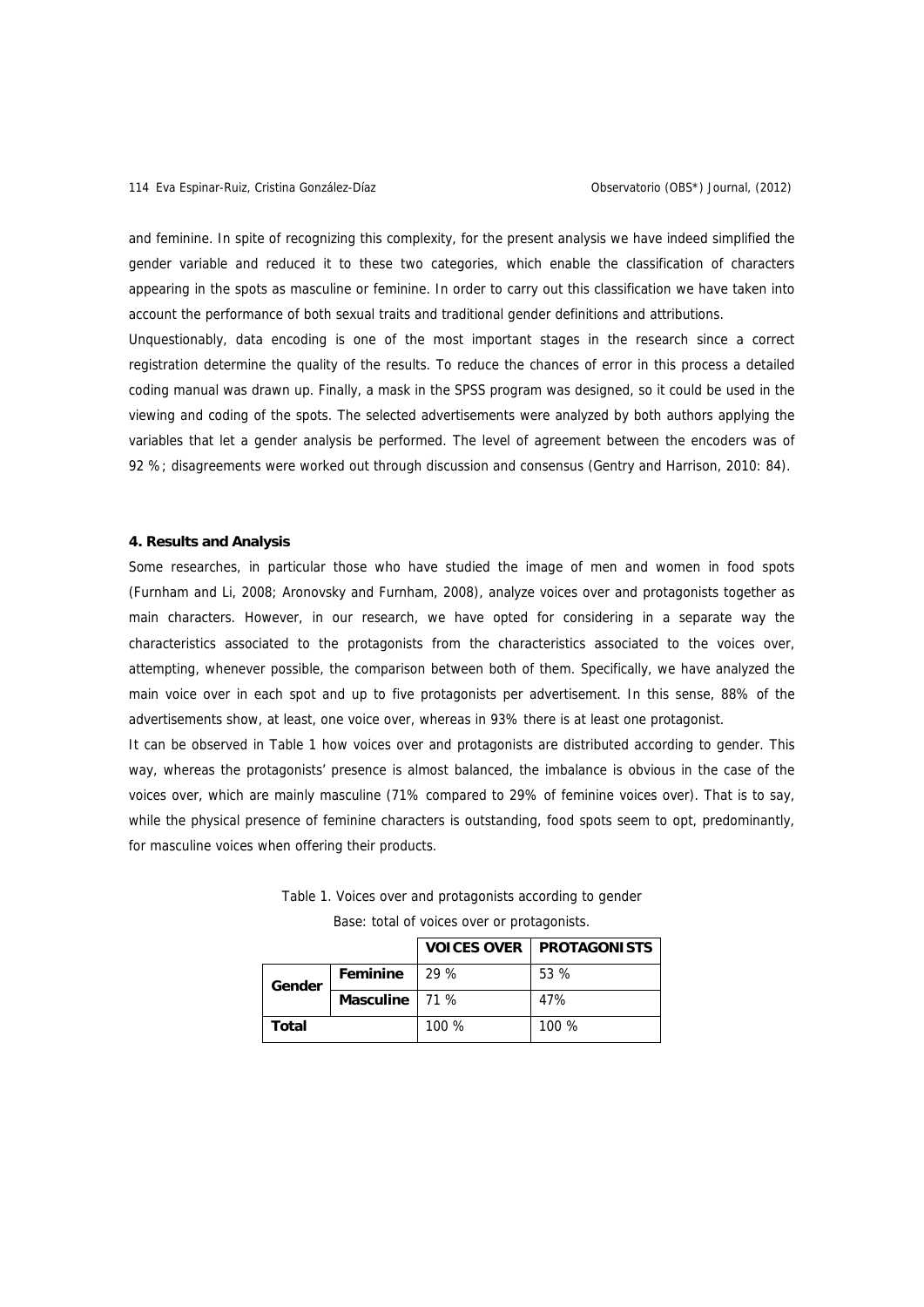and feminine. In spite of recognizing this complexity, for the present analysis we have indeed simplified the gender variable and reduced it to these two categories, which enable the classification of characters appearing in the spots as masculine or feminine. In order to carry out this classification we have taken into account the performance of both sexual traits and traditional gender definitions and attributions.

Unquestionably, data encoding is one of the most important stages in the research since a correct registration determine the quality of the results. To reduce the chances of error in this process a detailed coding manual was drawn up. Finally, a mask in the SPSS program was designed, so it could be used in the viewing and coding of the spots. The selected advertisements were analyzed by both authors applying the variables that let a gender analysis be performed. The level of agreement between the encoders was of 92 %; disagreements were worked out through discussion and consensus (Gentry and Harrison, 2010: 84).

## **4. Results and Analysis**

Some researches, in particular those who have studied the image of men and women in food spots (Furnham and Li, 2008; Aronovsky and Furnham, 2008), analyze voices over and protagonists together as main characters. However, in our research, we have opted for considering in a separate way the characteristics associated to the protagonists from the characteristics associated to the voices over, attempting, whenever possible, the comparison between both of them. Specifically, we have analyzed the main voice over in each spot and up to five protagonists per advertisement. In this sense, 88% of the advertisements show, at least, one voice over, whereas in 93% there is at least one protagonist.

It can be observed in Table 1 how voices over and protagonists are distributed according to gender. This way, whereas the protagonists' presence is almost balanced, the imbalance is obvious in the case of the voices over, which are mainly masculine (71% compared to 29% of feminine voices over). That is to say, while the physical presence of feminine characters is outstanding, food spots seem to opt, predominantly, for masculine voices when offering their products.

|  |  | Table 1. Voices over and protagonists according to gender |  |  |
|--|--|-----------------------------------------------------------|--|--|
|  |  |                                                           |  |  |

|              |                  |       | <b>VOICES OVER PROTAGONISTS</b> |
|--------------|------------------|-------|---------------------------------|
| Gender       | Feminine         | 29%   | 53 %                            |
|              | Masculine $171%$ |       | 47%                             |
| <b>Total</b> |                  | 100 % | 100 %                           |

Base: total of voices over or protagonists.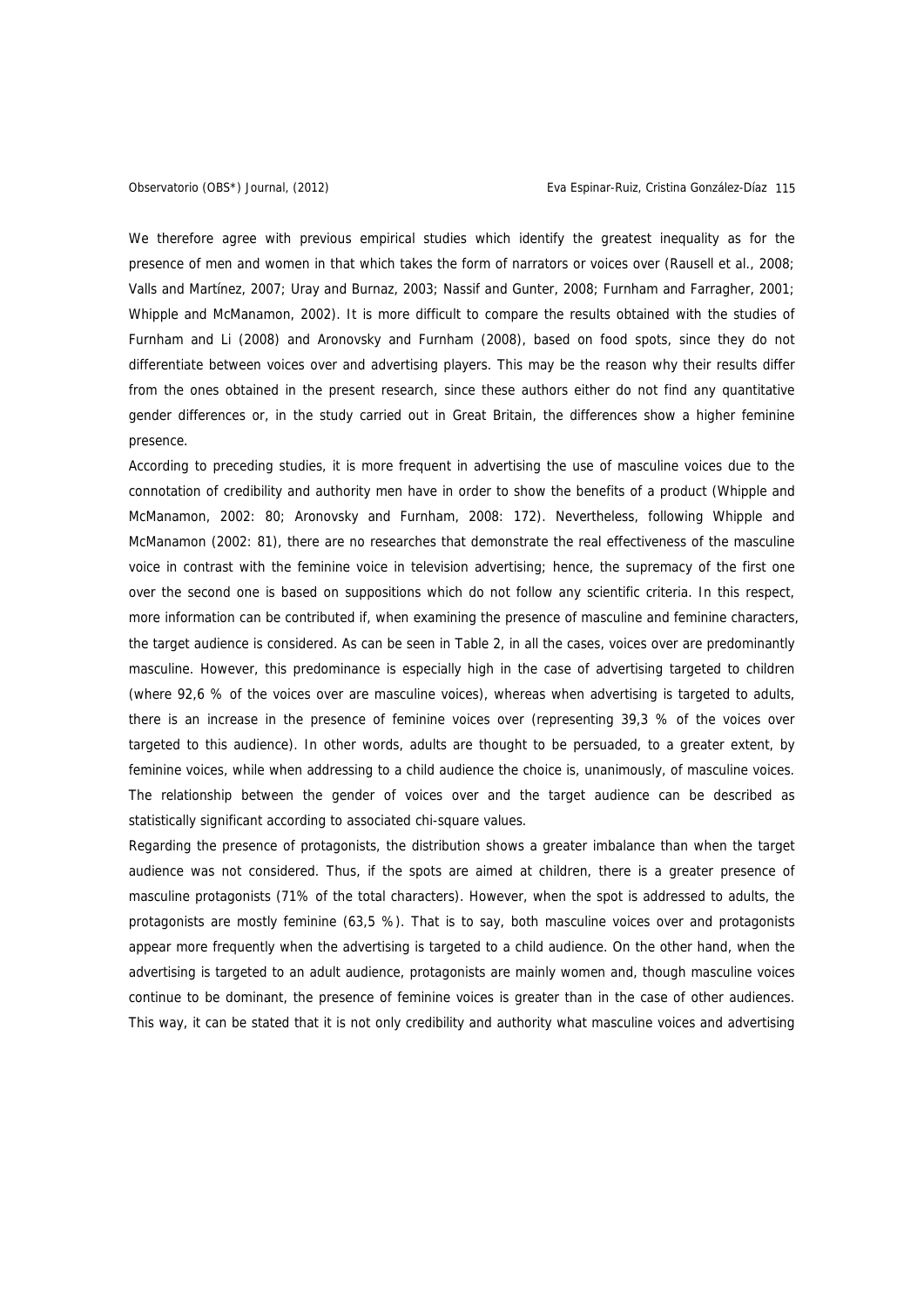We therefore agree with previous empirical studies which identify the greatest inequality as for the presence of men and women in that which takes the form of narrators or voices over (Rausell et al., 2008; Valls and Martínez, 2007; Uray and Burnaz, 2003; Nassif and Gunter, 2008; Furnham and Farragher, 2001; Whipple and McManamon, 2002). It is more difficult to compare the results obtained with the studies of Furnham and Li (2008) and Aronovsky and Furnham (2008), based on food spots, since they do not differentiate between voices over and advertising players. This may be the reason why their results differ from the ones obtained in the present research, since these authors either do not find any quantitative gender differences or, in the study carried out in Great Britain, the differences show a higher feminine presence.

According to preceding studies, it is more frequent in advertising the use of masculine voices due to the connotation of credibility and authority men have in order to show the benefits of a product (Whipple and McManamon, 2002: 80; Aronovsky and Furnham, 2008: 172). Nevertheless, following Whipple and McManamon (2002: 81), there are no researches that demonstrate the real effectiveness of the masculine voice in contrast with the feminine voice in television advertising; hence, the supremacy of the first one over the second one is based on suppositions which do not follow any scientific criteria. In this respect, more information can be contributed if, when examining the presence of masculine and feminine characters, the target audience is considered. As can be seen in Table 2, in all the cases, voices over are predominantly masculine. However, this predominance is especially high in the case of advertising targeted to children (where 92,6 % of the voices over are masculine voices), whereas when advertising is targeted to adults, there is an increase in the presence of feminine voices over (representing 39,3 % of the voices over targeted to this audience). In other words, adults are thought to be persuaded, to a greater extent, by feminine voices, while when addressing to a child audience the choice is, unanimously, of masculine voices. The relationship between the gender of voices over and the target audience can be described as statistically significant according to associated chi-square values.

Regarding the presence of protagonists, the distribution shows a greater imbalance than when the target audience was not considered. Thus, if the spots are aimed at children, there is a greater presence of masculine protagonists (71% of the total characters). However, when the spot is addressed to adults, the protagonists are mostly feminine (63,5 %). That is to say, both masculine voices over and protagonists appear more frequently when the advertising is targeted to a child audience. On the other hand, when the advertising is targeted to an adult audience, protagonists are mainly women and, though masculine voices continue to be dominant, the presence of feminine voices is greater than in the case of other audiences. This way, it can be stated that it is not only credibility and authority what masculine voices and advertising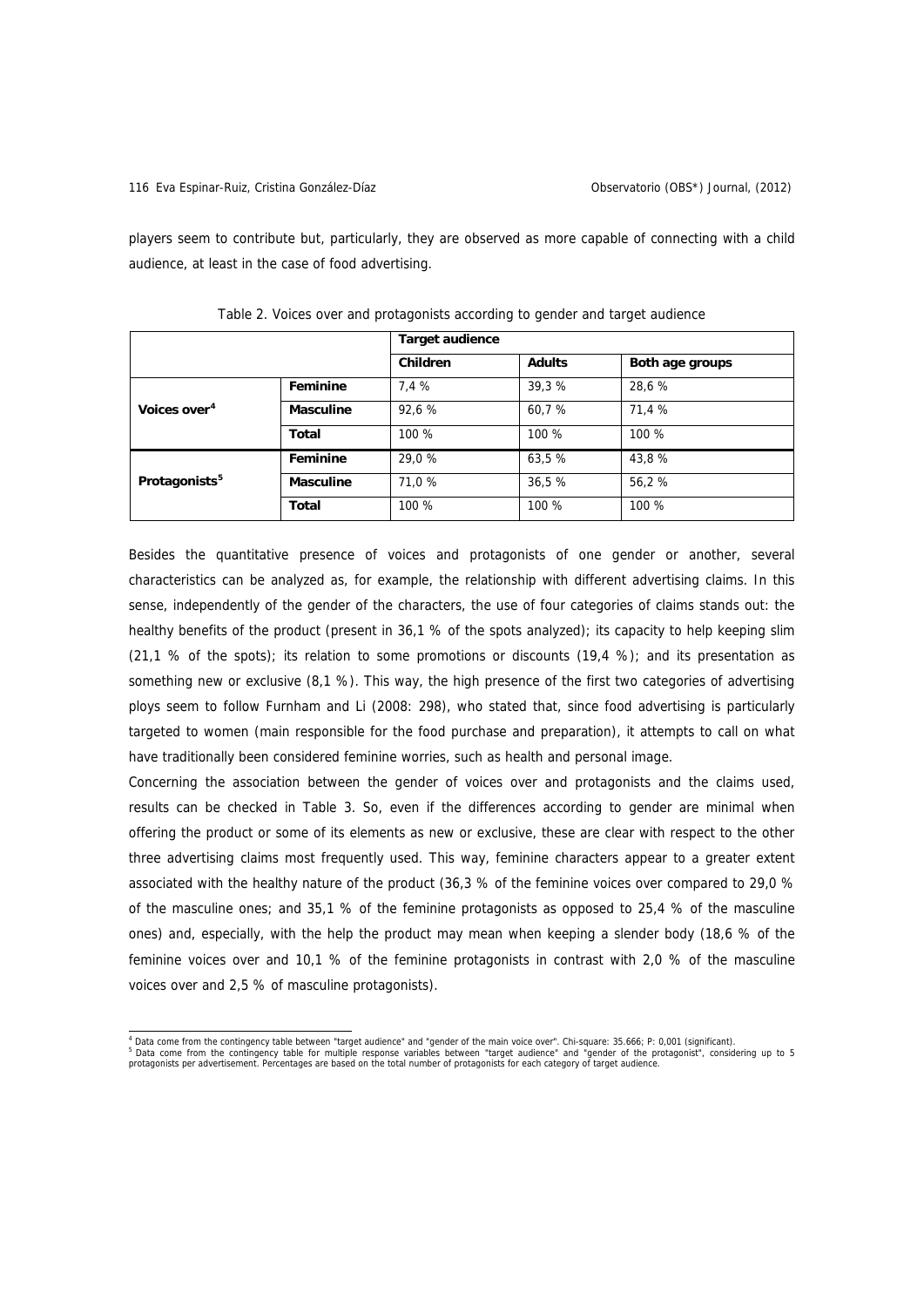players seem to contribute but, particularly, they are observed as more capable of connecting with a child audience, at least in the case of food advertising.

|                           |                  | <b>Target audience</b> |               |                 |  |
|---------------------------|------------------|------------------------|---------------|-----------------|--|
|                           |                  | <b>Children</b>        | <b>Adults</b> | Both age groups |  |
|                           | Feminine         | 7,4 %                  | 39,3 %        | 28,6 %          |  |
| Voices over <sup>4</sup>  | <b>Masculine</b> | 92,6 %                 | 60,7 %        | 71,4 %          |  |
|                           | Total            | 100 %                  | 100 %         | 100 %           |  |
|                           | Feminine         | 29,0 %                 | 63,5 %        | 43,8 %          |  |
| Protagonists <sup>5</sup> | <b>Masculine</b> | 71.0 %                 | 36,5 %        | 56,2 %          |  |
|                           | Total            | 100 %                  | 100 %         | 100 %           |  |

Table 2. Voices over and protagonists according to gender and target audience

Besides the quantitative presence of voices and protagonists of one gender or another, several characteristics can be analyzed as, for example, the relationship with different advertising claims. In this sense, independently of the gender of the characters, the use of four categories of claims stands out: the healthy benefits of the product (present in 36,1 % of the spots analyzed); its capacity to help keeping slim  $(21.1 \, \%$  of the spots); its relation to some promotions or discounts  $(19.4 \, \%)$ ; and its presentation assomething new or exclusive (8,1 %). This way, the high presence of the first two categories of advertising ploys seem to follow Furnham and Li (2008: 298), who stated that, since food advertising is particularly targeted to women (main responsible for the food purchase and preparation), it attempts to call on what have traditionally been considered feminine worries, such as health and personal image.

Concerning the association between the gender of voices over and protagonists and the claims used, results can be checked in Table 3. So, even if the differences according to gender are minimal when offering the product or some of its elements as new or exclusive, these are clear with respect to the other three advertising claims most frequently used. This way, feminine characters appear to a greater extent associated with the healthy nature of the product (36,3 % of the feminine voices over compared to 29,0 % of the masculine ones; and 35,1 % of the feminine protagonists as opposed to 25,4 % of the masculine ones) and, especially, with the help the product may mean when keeping a slender body (18,6 % of the feminine voices over and 10,1 % of the feminine protagonists in contrast with 2,0 % of the masculine voices over and 2,5 % of masculine protagonists).

<span id="page-7-1"></span><span id="page-7-0"></span><sup>4&</sup>lt;br>Data come from the contingency table between "target audience" and "gender of the main voice over". Chi-square: 35.666; P: 0,001 (significant).<br><sup>5</sup> Data come from the contingency table for multiple response variables bet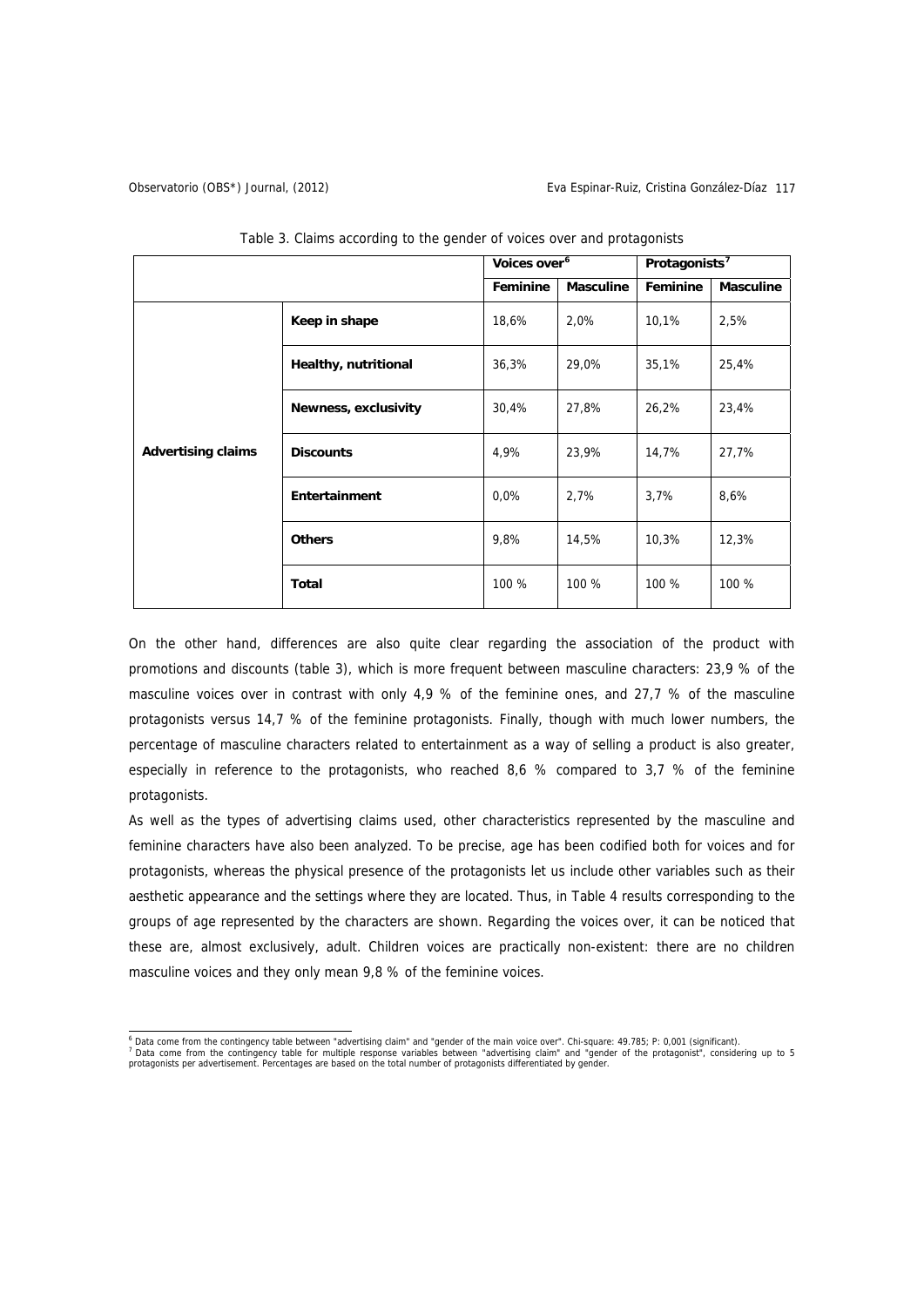## Observatorio (OBS\*) Journal, (2012) Eva Espinar-Ruiz, Cristina González-Díaz 117

|                           |                      | Voices over <sup>6</sup> |                  | Protagonists <sup>7</sup> |                  |
|---------------------------|----------------------|--------------------------|------------------|---------------------------|------------------|
|                           |                      | Feminine                 | <b>Masculine</b> | Feminine                  | <b>Masculine</b> |
|                           | Keep in shape        | 18,6%                    | 2,0%             | 10,1%                     | 2,5%             |
|                           | Healthy, nutritional | 36,3%                    | 29,0%            | 35,1%                     | 25,4%            |
|                           | Newness, exclusivity | 30,4%                    | 27,8%            | 26,2%                     | 23,4%            |
| <b>Advertising claims</b> | <b>Discounts</b>     | 4,9%                     | 23,9%            | 14,7%                     | 27,7%            |
|                           | Entertainment        | $0.0\%$                  | 2,7%             | 3,7%                      | 8,6%             |
|                           | <b>Others</b>        | 9,8%                     | 14,5%            | 10,3%                     | 12,3%            |
|                           | Total                | 100 %                    | 100 %            | 100 %                     | 100 %            |

Table 3. Claims according to the gender of voices over and protagonists

On the other hand, differences are also quite clear regarding the association of the product with promotions and discounts (table 3), which is more frequent between masculine characters: 23,9 % of the masculine voices over in contrast with only 4,9 % of the feminine ones, and 27,7 % of the masculine protagonists versus 14,7 % of the feminine protagonists. Finally, though with much lower numbers, the percentage of masculine characters related to entertainment as a way of selling a product is also greater, especially in reference to the protagonists, who reached 8,6 % compared to 3,7 % of the feminine protagonists.

As well as the types of advertising claims used, other characteristics represented by the masculine and feminine characters have also been analyzed. To be precise, age has been codified both for voices and for protagonists, whereas the physical presence of the protagonists let us include other variables such as their aesthetic appearance and the settings where they are located. Thus, in Table 4 results corresponding to the groups of age represented by the characters are shown. Regarding the voices over, it can be noticed that these are, almost exclusively, adult. Children voices are practically non-existent: there are no children masculine voices and they only mean 9,8 % of the feminine voices.

<span id="page-8-1"></span><span id="page-8-0"></span><sup>&</sup>lt;sup>6</sup> Data come from the contingency table between "advertising claim" and "gender of the main voice over". Chi-square: 49.785; P: 0,001 (significant).<br><sup>7</sup> Data come from the contingency table for multiple response variables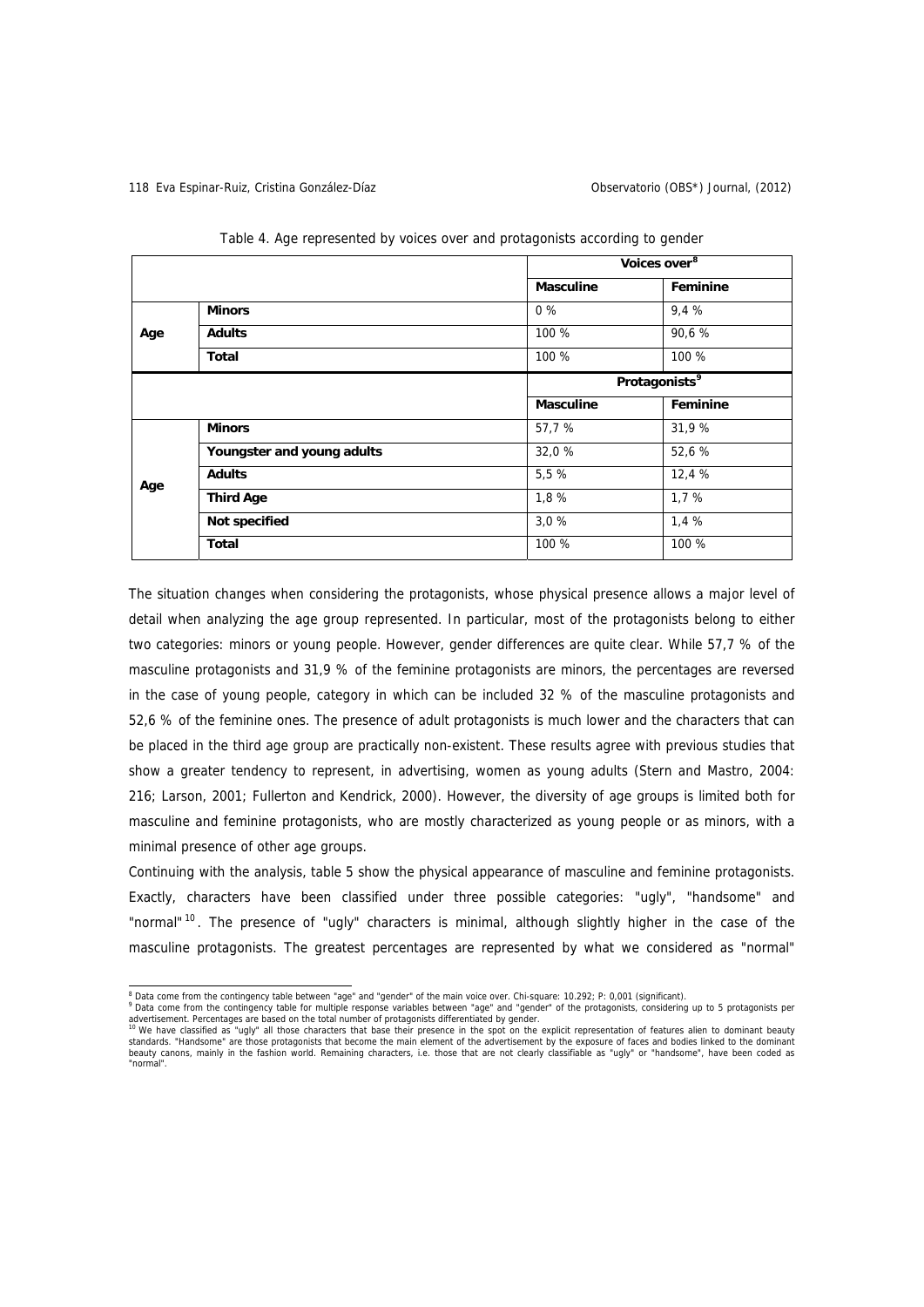|     |                            | Voices over <sup>8</sup>  |          |  |
|-----|----------------------------|---------------------------|----------|--|
|     |                            | <b>Masculine</b>          | Feminine |  |
|     | <b>Minors</b>              | $0\%$                     | 9,4 %    |  |
| Age | <b>Adults</b>              | 100 %                     | 90,6 %   |  |
|     | Total                      | 100 %                     | 100 %    |  |
|     |                            | Protagonists <sup>9</sup> |          |  |
|     |                            | <b>Masculine</b>          | Feminine |  |
|     | <b>Minors</b>              | 57,7 %                    | 31,9 %   |  |
|     | Youngster and young adults | 32,0 %                    | 52,6 %   |  |
| Age | <b>Adults</b>              | 5,5 %                     | 12,4 %   |  |
|     | <b>Third Age</b>           | 1,8%                      | 1,7 %    |  |
|     | Not specified              | 3.0%                      | 1,4 %    |  |
|     | <b>Total</b>               | 100 %                     | 100 %    |  |

Table 4. Age represented by voices over and protagonists according to gender

The situation changes when considering the protagonists, whose physical presence allows a major level of detail when analyzing the age group represented. In particular, most of the protagonists belong to either two categories: minors or young people. However, gender differences are quite clear. While 57,7 % of the masculine protagonists and 31,9 % of the feminine protagonists are minors, the percentages are reversed in the case of young people, category in which can be included 32 % of the masculine protagonists and 52,6 % of the feminine ones. The presence of adult protagonists is much lower and the characters that can be placed in the third age group are practically non-existent. These results agree with previous studies that show a greater tendency to represent, in advertising, women as young adults (Stern and Mastro, 2004: 216; Larson, 2001; Fullerton and Kendrick, 2000). However, the diversity of age groups is limited both for masculine and feminine protagonists, who are mostly characterized as young people or as minors, with a minimal presence of other age groups.

Continuing with the analysis, table 5 show the physical appearance of masculine and feminine protagonists. Exactly, characters have been classified under three possible categories: "ugly", "handsome" and "normal" <sup>[10](#page-9-2)</sup>. The presence of "ugly" characters is minimal, although slightly higher in the case of the masculine protagonists. The greatest percentages are represented by what we considered as "normal"

<span id="page-9-0"></span><sup>&</sup>lt;sup>8</sup> Data come from the contingency table between "age" and "gender" of the main voice over. Chi-square: 10.292; P: 0,001 (significant).<br><sup>9</sup> Data come from the contingency table for multiple response variables between "age"

Data come from the contingency table for multiple response variables between "age" and "gender" of the protagonists, considering up to 5 protagonists per

<span id="page-9-2"></span><span id="page-9-1"></span>advertisement. Percentages are based on the total number of protagonists differentiated by gender.<br><sup>10</sup> We have classified as "ugly" all those characters that base their presence in the spot on the explicit representation "normal".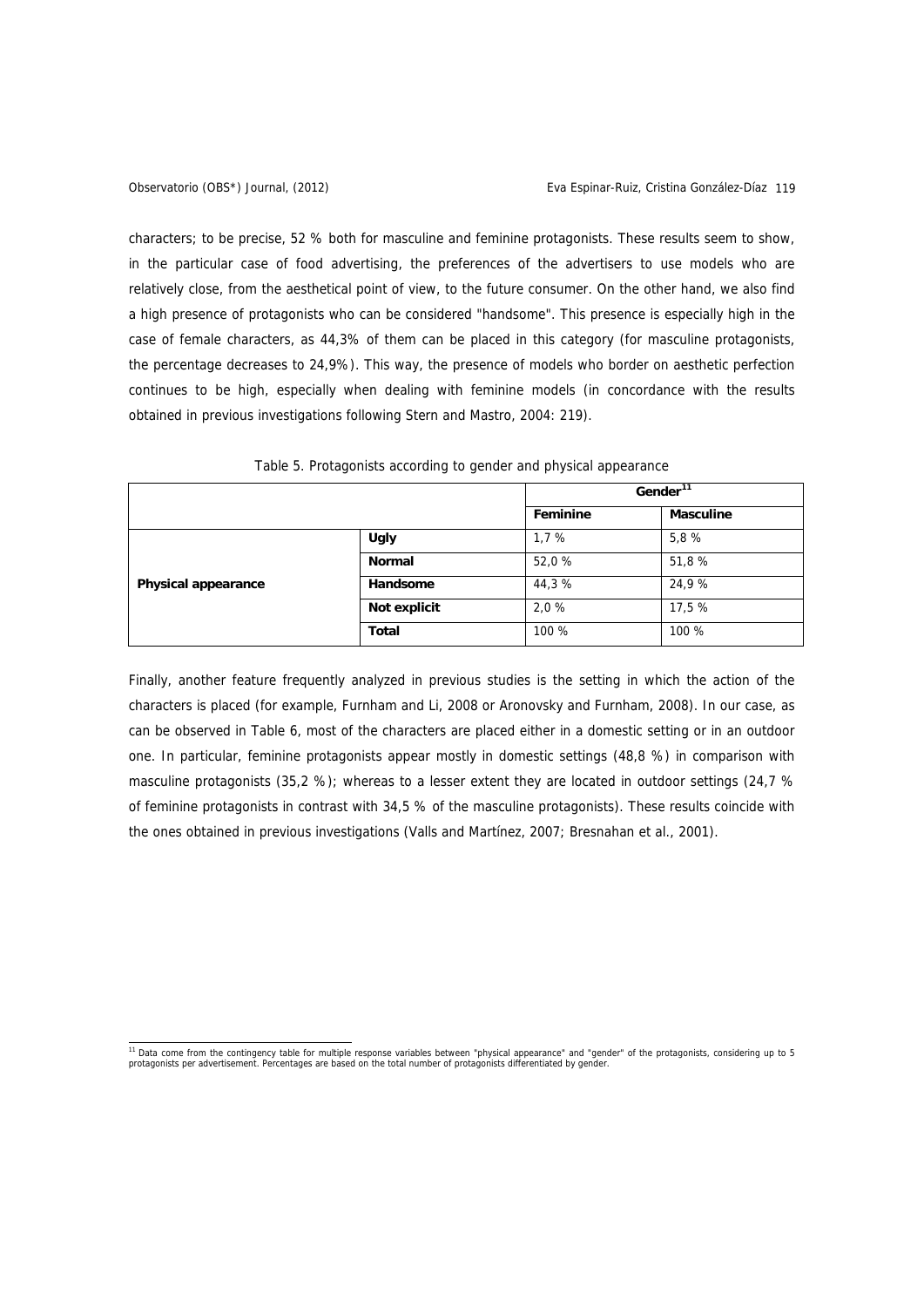characters; to be precise, 52 % both for masculine and feminine protagonists. These results seem to show, in the particular case of food advertising, the preferences of the advertisers to use models who are relatively close, from the aesthetical point of view, to the future consumer. On the other hand, we also find a high presence of protagonists who can be considered "handsome". This presence is especially high in the case of female characters, as 44,3% of them can be placed in this category (for masculine protagonists, the percentage decreases to 24,9%). This way, the presence of models who border on aesthetic perfection continues to be high, especially when dealing with feminine models (in concordance with the results obtained in previous investigations following Stern and Mastro, 2004: 219).

|                            |               | Gender <sup>11</sup> |                  |
|----------------------------|---------------|----------------------|------------------|
|                            |               | Feminine             | <b>Masculine</b> |
|                            | <b>Ugly</b>   | 1,7%                 | 5,8 %            |
|                            | <b>Normal</b> | 52,0 %               | 51,8 %           |
| <b>Physical appearance</b> | Handsome      | 44,3%                | 24,9 %           |
|                            | Not explicit  | 2,0 %                | 17,5 %           |
|                            | <b>Total</b>  | 100 %                | 100 %            |

Table 5. Protagonists according to gender and physical appearance

Finally, another feature frequently analyzed in previous studies is the setting in which the action of the characters is placed (for example, Furnham and Li, 2008 or Aronovsky and Furnham, 2008). In our case, as can be observed in Table 6, most of the characters are placed either in a domestic setting or in an outdoor one. In particular, feminine protagonists appear mostly in domestic settings (48,8 %) in comparison with masculine protagonists (35,2 %); whereas to a lesser extent they are located in outdoor settings (24,7 % of feminine protagonists in contrast with 34,5 % of the masculine protagonists). These results coincide with the ones obtained in previous investigations (Valls and Martínez, 2007; Bresnahan et al., 2001).

<span id="page-10-0"></span><sup>&</sup>lt;sup>11</sup> Data come from the contingency table for multiple response variables between "physical appearance" and "gender" of the protagonists, considering up to 5<br>protagonists per advertisement. Percentages are based on the tot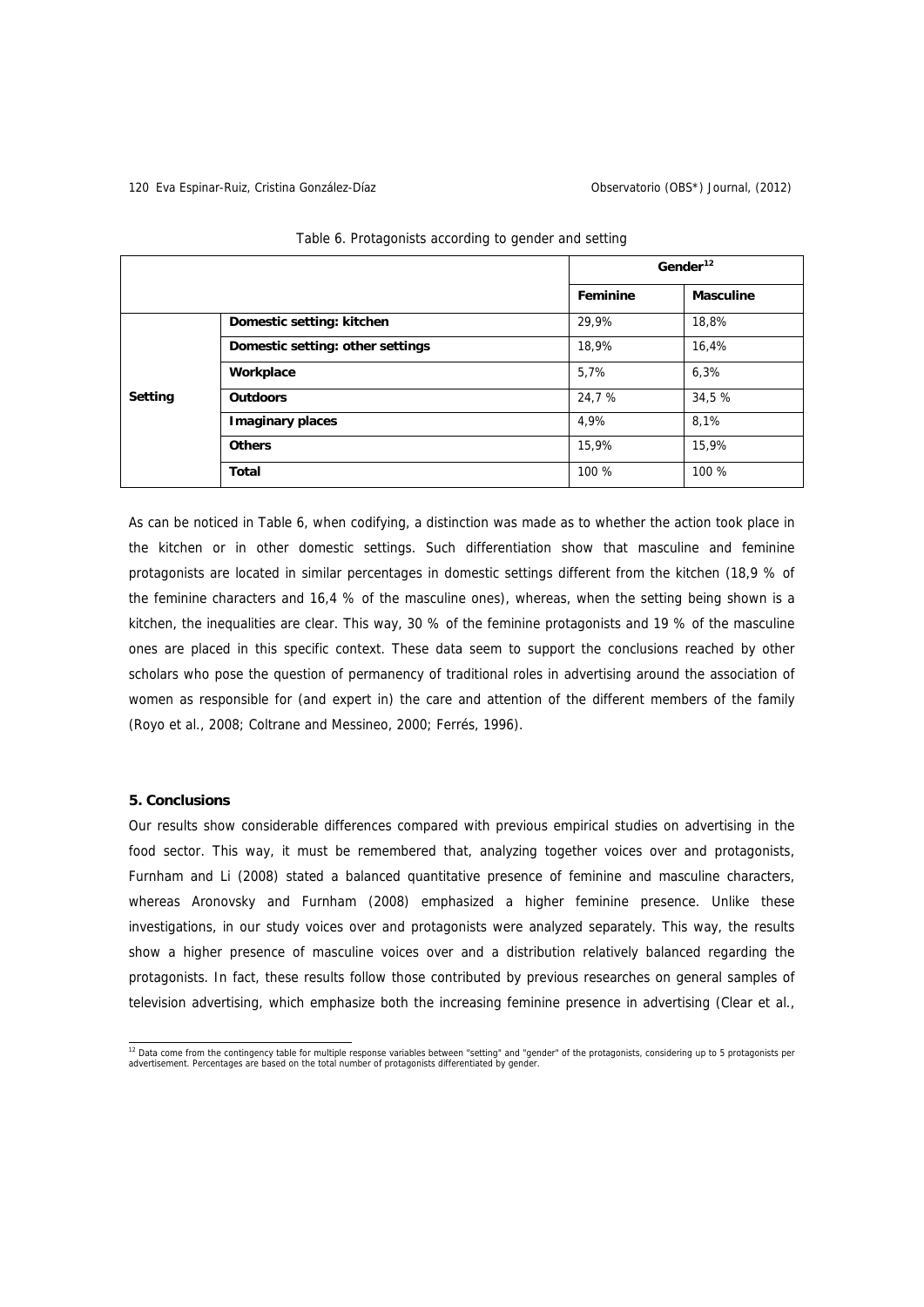## 120 Eva Espinar-Ruiz, Cristina González-Díaz Observatorio (OBS\*) Journal, (2012)

|         |                                  | Gender <sup>12</sup> |                  |
|---------|----------------------------------|----------------------|------------------|
|         |                                  | Feminine             | <b>Masculine</b> |
|         | Domestic setting: kitchen        | 29,9%                | 18,8%            |
| Setting | Domestic setting: other settings | 18,9%                | 16,4%            |
|         | Workplace                        | 5,7%                 | 6,3%             |
|         | <b>Outdoors</b>                  | 24,7 %               | 34,5 %           |
|         | <b>Imaginary places</b>          | 4,9%                 | 8,1%             |
|         | <b>Others</b>                    | 15,9%                | 15,9%            |
|         | Total                            | 100 %                | 100 %            |

| Table 6. Protagonists according to gender and setting |  |  |
|-------------------------------------------------------|--|--|
|                                                       |  |  |

As can be noticed in Table 6, when codifying, a distinction was made as to whether the action took place in the kitchen or in other domestic settings. Such differentiation show that masculine and feminine protagonists are located in similar percentages in domestic settings different from the kitchen (18,9 % of the feminine characters and 16,4 % of the masculine ones), whereas, when the setting being shown is a kitchen, the inequalities are clear. This way, 30 % of the feminine protagonists and 19 % of the masculine ones are placed in this specific context. These data seem to support the conclusions reached by other scholars who pose the question of permanency of traditional roles in advertising around the association of women as responsible for (and expert in) the care and attention of the different members of the family (Royo et al., 2008; Coltrane and Messineo, 2000; Ferrés, 1996).

## **5. Conclusions**

Our results show considerable differences compared with previous empirical studies on advertising in the food sector. This way, it must be remembered that, analyzing together voices over and protagonists, Furnham and Li (2008) stated a balanced quantitative presence of feminine and masculine characters, whereas Aronovsky and Furnham (2008) emphasized a higher feminine presence. Unlike these investigations, in our study voices over and protagonists were analyzed separately. This way, the results show a higher presence of masculine voices over and a distribution relatively balanced regarding the protagonists. In fact, these results follow those contributed by previous researches on general samples of television advertising, which emphasize both the increasing feminine presence in advertising (Clear et al.,

<span id="page-11-0"></span><sup>12&</sup>lt;br>Tand a come from the contingency table for multiple response variables between "setting" and "gender" of the protagonists, considering up to 5 protagonists per<br>advertisement. Percentages are based on the total number of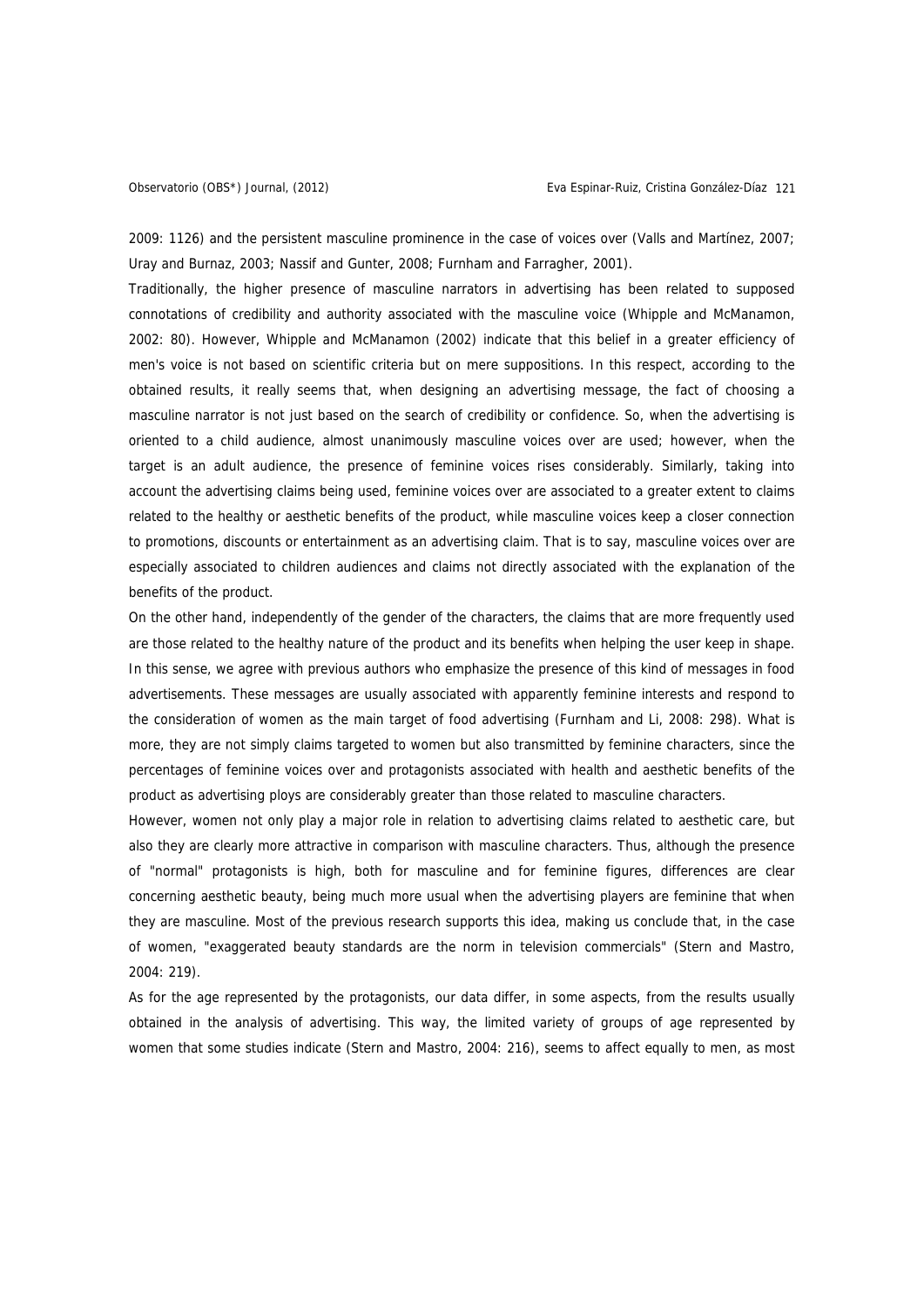2009: 1126) and the persistent masculine prominence in the case of voices over (Valls and Martínez, 2007; Uray and Burnaz, 2003; Nassif and Gunter, 2008; Furnham and Farragher, 2001).

Traditionally, the higher presence of masculine narrators in advertising has been related to supposed connotations of credibility and authority associated with the masculine voice (Whipple and McManamon, 2002: 80). However, Whipple and McManamon (2002) indicate that this belief in a greater efficiency of men's voice is not based on scientific criteria but on mere suppositions. In this respect, according to the obtained results, it really seems that, when designing an advertising message, the fact of choosing a masculine narrator is not just based on the search of credibility or confidence. So, when the advertising is oriented to a child audience, almost unanimously masculine voices over are used; however, when the target is an adult audience, the presence of feminine voices rises considerably. Similarly, taking into account the advertising claims being used, feminine voices over are associated to a greater extent to claims related to the healthy or aesthetic benefits of the product, while masculine voices keep a closer connection to promotions, discounts or entertainment as an advertising claim. That is to say, masculine voices over are especially associated to children audiences and claims not directly associated with the explanation of the benefits of the product.

On the other hand, independently of the gender of the characters, the claims that are more frequently used are those related to the healthy nature of the product and its benefits when helping the user keep in shape. In this sense, we agree with previous authors who emphasize the presence of this kind of messages in food advertisements. These messages are usually associated with apparently feminine interests and respond to the consideration of women as the main target of food advertising (Furnham and Li, 2008: 298). What is more, they are not simply claims targeted to women but also transmitted by feminine characters, since the percentages of feminine voices over and protagonists associated with health and aesthetic benefits of the product as advertising ploys are considerably greater than those related to masculine characters.

However, women not only play a major role in relation to advertising claims related to aesthetic care, but also they are clearly more attractive in comparison with masculine characters. Thus, although the presence of "normal" protagonists is high, both for masculine and for feminine figures, differences are clear concerning aesthetic beauty, being much more usual when the advertising players are feminine that when they are masculine. Most of the previous research supports this idea, making us conclude that, in the case of women, "exaggerated beauty standards are the norm in television commercials" (Stern and Mastro, 2004: 219).

As for the age represented by the protagonists, our data differ, in some aspects, from the results usually obtained in the analysis of advertising. This way, the limited variety of groups of age represented by women that some studies indicate (Stern and Mastro, 2004: 216), seems to affect equally to men, as most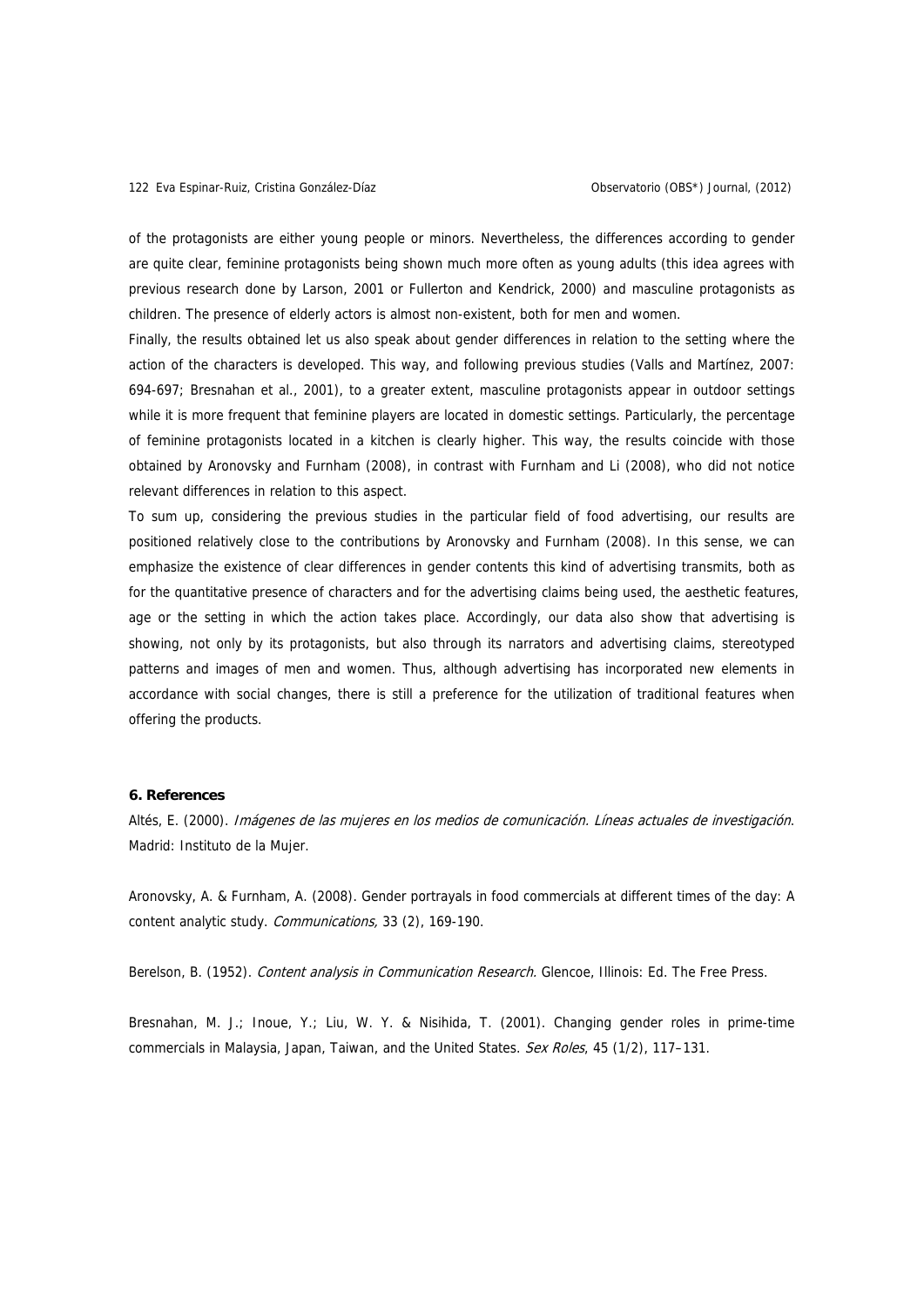of the protagonists are either young people or minors. Nevertheless, the differences according to gender are quite clear, feminine protagonists being shown much more often as young adults (this idea agrees with previous research done by Larson, 2001 or Fullerton and Kendrick, 2000) and masculine protagonists as children. The presence of elderly actors is almost non-existent, both for men and women.

Finally, the results obtained let us also speak about gender differences in relation to the setting where the action of the characters is developed. This way, and following previous studies (Valls and Martínez, 2007: 694-697; Bresnahan et al., 2001), to a greater extent, masculine protagonists appear in outdoor settings while it is more frequent that feminine players are located in domestic settings. Particularly, the percentage of feminine protagonists located in a kitchen is clearly higher. This way, the results coincide with those obtained by Aronovsky and Furnham (2008), in contrast with Furnham and Li (2008), who did not notice relevant differences in relation to this aspect.

To sum up, considering the previous studies in the particular field of food advertising, our results are positioned relatively close to the contributions by Aronovsky and Furnham (2008). In this sense, we can emphasize the existence of clear differences in gender contents this kind of advertising transmits, both as for the quantitative presence of characters and for the advertising claims being used, the aesthetic features, age or the setting in which the action takes place. Accordingly, our data also show that advertising is showing, not only by its protagonists, but also through its narrators and advertising claims, stereotyped patterns and images of men and women. Thus, although advertising has incorporated new elements in accordance with social changes, there is still a preference for the utilization of traditional features when offering the products.

## **6. References**

Altés, E. (2000). Imágenes de las mujeres en los medios de comunicación. Líneas actuales de investigación. Madrid: Instituto de la Mujer.

Aronovsky, A. & Furnham, A. (2008). Gender portrayals in food commercials at different times of the day: A content analytic study. Communications, 33 (2), 169-190.

Berelson, B. (1952). Content analysis in Communication Research. Glencoe, Illinois: Ed. The Free Press.

Bresnahan, M. J.; Inoue, Y.; Liu, W. Y. & Nisihida, T. (2001). Changing gender roles in prime-time commercials in Malaysia, Japan, Taiwan, and the United States. Sex Roles, 45 (1/2), 117-131.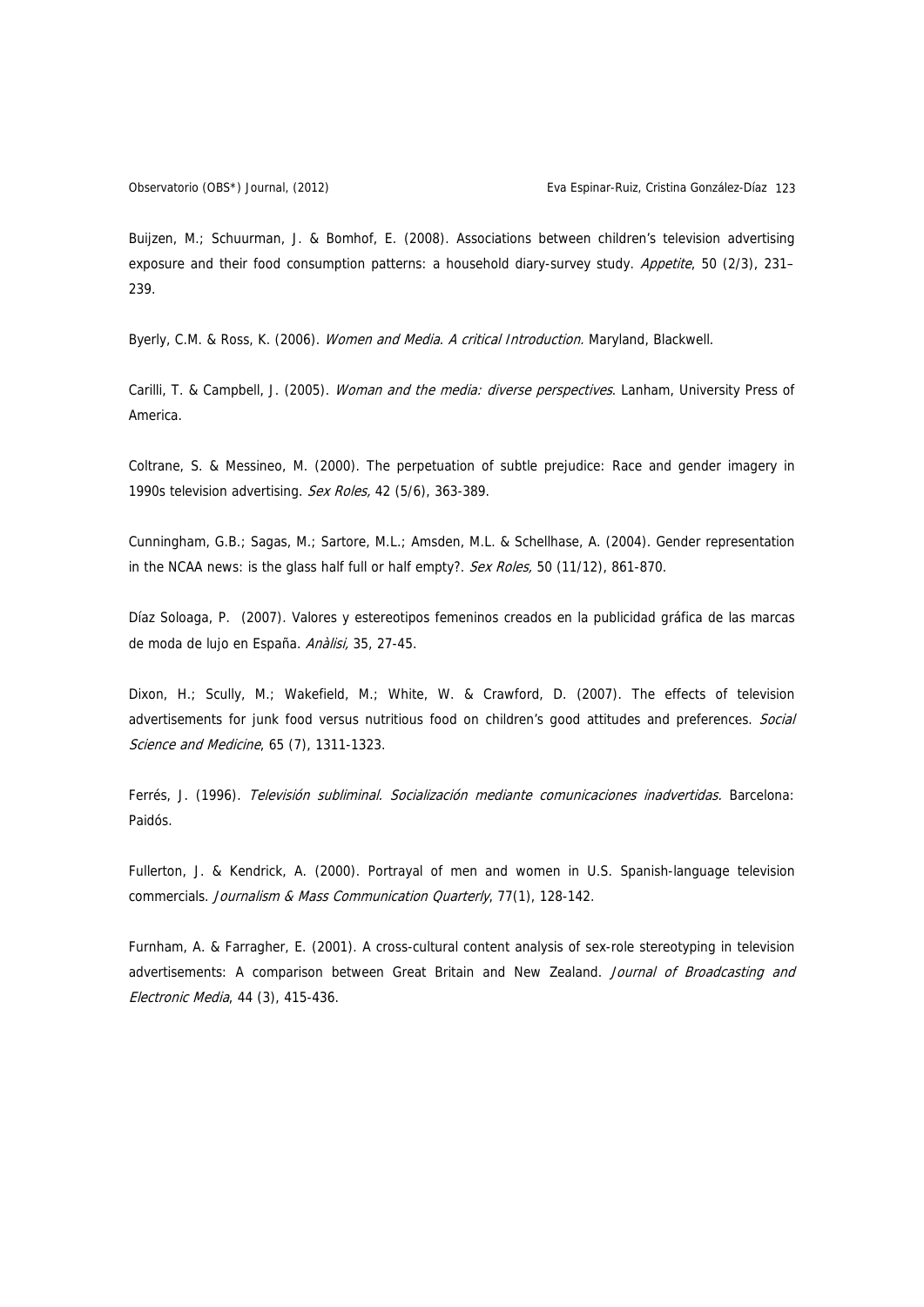Buijzen, M.; Schuurman, J. & Bomhof, E. (2008). Associations between children's television advertising exposure and their food consumption patterns: a household diary-survey study. Appetite, 50 (2/3), 231-239.

Byerly, C.M. & Ross, K. (2006). Women and Media. A critical Introduction. Maryland, Blackwell.

Carilli, T. & Campbell, J. (2005). Woman and the media: diverse perspectives. Lanham, University Press of America.

Coltrane, S. & Messineo, M. (2000). The perpetuation of subtle prejudice: Race and gender imagery in 1990s television advertising. Sex Roles, 42 (5/6), 363-389.

Cunningham, G.B.; Sagas, M.; Sartore, M.L.; Amsden, M.L. & Schellhase, A. (2004). Gender representation in the NCAA news: is the glass half full or half empty?. Sex Roles, 50 (11/12), 861-870.

Díaz Soloaga, P. (2007). Valores y estereotipos femeninos creados en la publicidad gráfica de las marcas de moda de lujo en España. Anàlisi, 35, 27-45.

Dixon, H.; Scully, M.; Wakefield, M.; White, W. & Crawford, D. (2007). The effects of television advertisements for junk food versus nutritious food on children's good attitudes and preferences. Social Science and Medicine, 65 (7), 1311-1323.

Ferrés, J. (1996). Televisión subliminal. Socialización mediante comunicaciones inadvertidas. Barcelona: Paidós.

Fullerton, J. & Kendrick, A. (2000). Portrayal of men and women in U.S. Spanish-language television commercials. Journalism & Mass Communication Quarterly, 77(1), 128-142.

Furnham, A. & Farragher, E. (2001). A cross-cultural content analysis of sex-role stereotyping in television advertisements: A comparison between Great Britain and New Zealand. Journal of Broadcasting and Electronic Media, 44 (3), 415-436.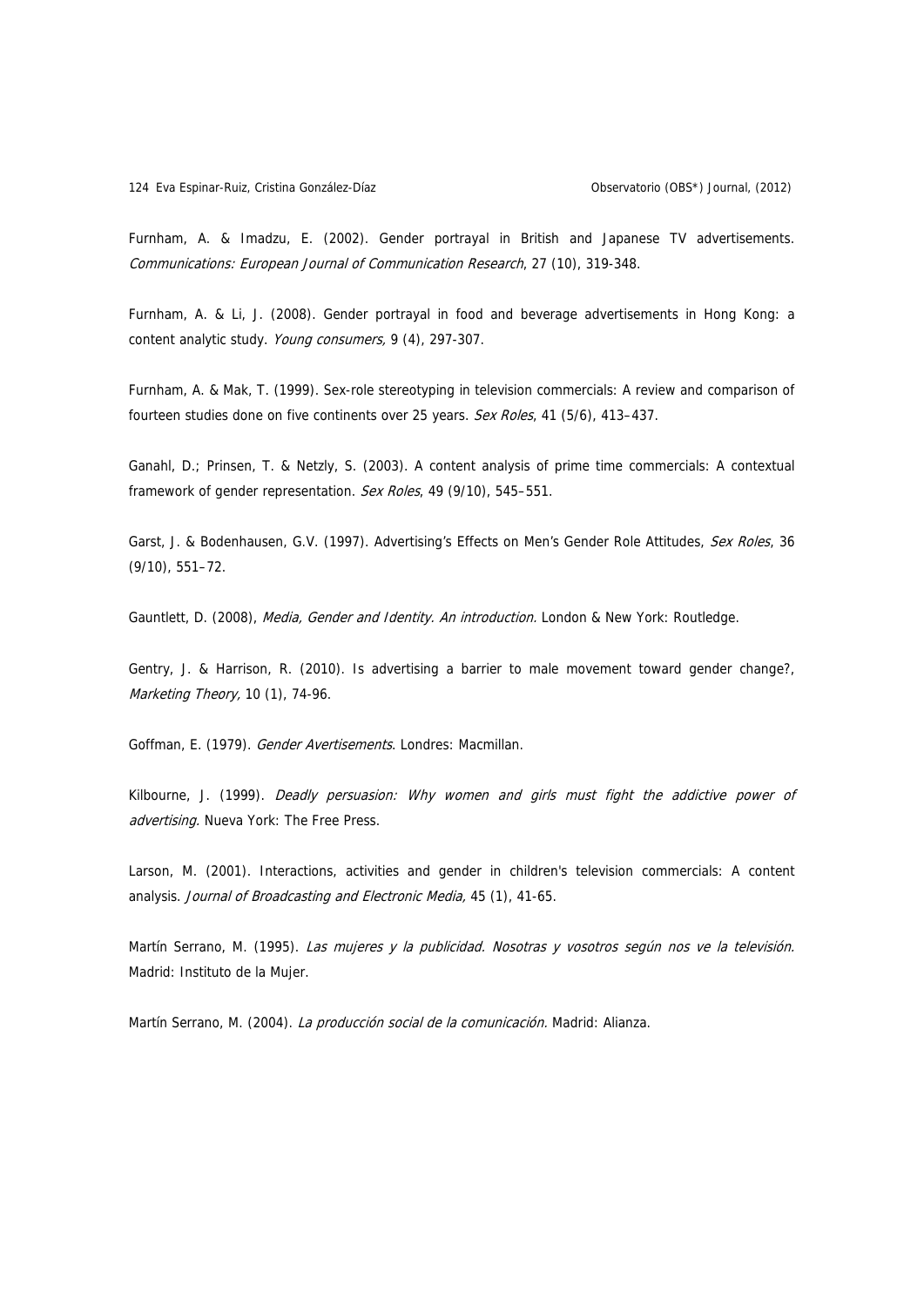Furnham, A. & Imadzu, E. (2002). Gender portrayal in British and Japanese TV advertisements. Communications: European Journal of Communication Research, 27 (10), 319-348.

Furnham, A. & Li, J. (2008). Gender portrayal in food and beverage advertisements in Hong Kong: a content analytic study. Young consumers, 9 (4), 297-307.

Furnham, A. & Mak, T. (1999). Sex-role stereotyping in television commercials: A review and comparison of fourteen studies done on five continents over 25 years. Sex Roles, 41 (5/6), 413-437.

Ganahl, D.; Prinsen, T. & Netzly, S. (2003). A content analysis of prime time commercials: A contextual framework of gender representation. Sex Roles, 49 (9/10), 545-551.

Garst, J. & Bodenhausen, G.V. (1997). Advertising's Effects on Men's Gender Role Attitudes, Sex Roles, 36 (9/10), 551–72.

Gauntlett, D. (2008), Media, Gender and Identity. An introduction. London & New York: Routledge.

Gentry, J. & Harrison, R. (2010). Is advertising a barrier to male movement toward gender change?, Marketing Theory, 10 (1), 74-96.

Goffman, E. (1979). Gender Avertisements. Londres: Macmillan.

Kilbourne, J. (1999). Deadly persuasion: Why women and girls must fight the addictive power of advertising. Nueva York: The Free Press.

Larson, M. (2001). Interactions, activities and gender in children's television commercials: A content analysis. Journal of Broadcasting and Electronic Media, 45 (1), 41-65.

Martín Serrano, M. (1995). Las mujeres y la publicidad. Nosotras y vosotros según nos ve la televisión. Madrid: Instituto de la Mujer.

Martín Serrano, M. (2004). La producción social de la comunicación. Madrid: Alianza.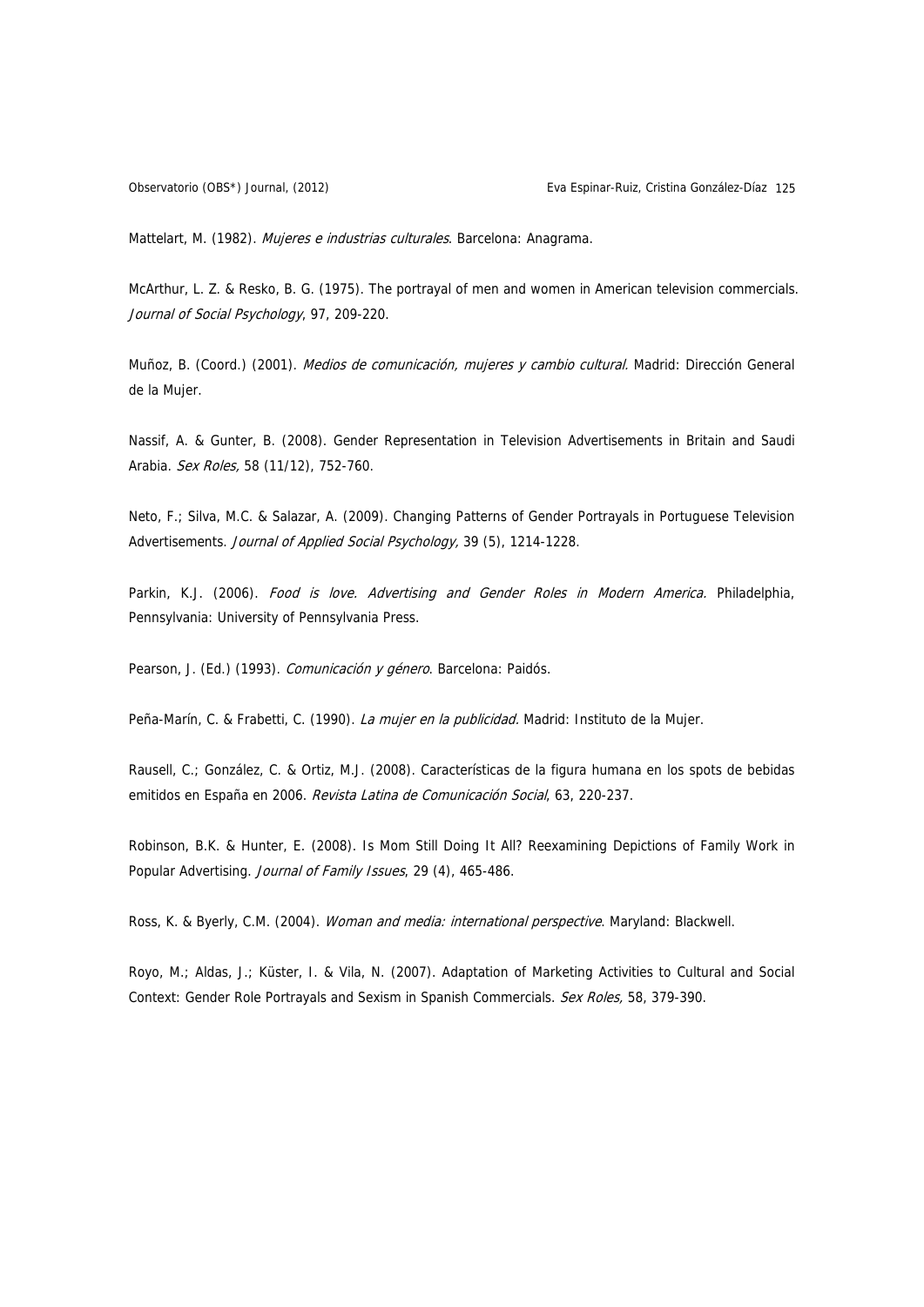Observatorio (OBS\*) Journal, (2012) Eva Espinar-Ruiz, Cristina González-Díaz 125

Mattelart, M. (1982). Mujeres e industrias culturales. Barcelona: Anagrama.

McArthur, L. Z. & Resko, B. G. (1975). The portrayal of men and women in American television commercials. Journal of Social Psychology, 97, 209-220.

Muñoz, B. (Coord.) (2001). Medios de comunicación, mujeres y cambio cultural. Madrid: Dirección General de la Mujer.

Nassif, A. & Gunter, B. (2008). Gender Representation in Television Advertisements in Britain and Saudi Arabia. Sex Roles, 58 (11/12), 752-760.

Neto, F.; Silva, M.C. & Salazar, A. (2009). Changing Patterns of Gender Portrayals in Portuguese Television Advertisements. Journal of Applied Social Psychology, 39 (5), 1214-1228.

Parkin, K.J. (2006). Food is love. Advertising and Gender Roles in Modern America. Philadelphia, Pennsylvania: University of Pennsylvania Press.

Pearson, J. (Ed.) (1993). Comunicación y género. Barcelona: Paidós.

Peña-Marín, C. & Frabetti, C. (1990). La mujer en la publicidad. Madrid: Instituto de la Mujer.

Rausell, C.; González, C. & Ortiz, M.J. (2008). Características de la figura humana en los spots de bebidas emitidos en España en 2006. Revista Latina de Comunicación Social, 63, 220-237.

Robinson, B.K. & Hunter, E. (2008). Is Mom Still Doing It All? Reexamining Depictions of Family Work in Popular Advertising. Journal of Family Issues, 29 (4), 465-486.

Ross, K. & Byerly, C.M. (2004). Woman and media: international perspective. Maryland: Blackwell.

Royo, M.; Aldas, J.; Küster, I. & Vila, N. (2007). Adaptation of Marketing Activities to Cultural and Social Context: Gender Role Portrayals and Sexism in Spanish Commercials. Sex Roles, 58, 379-390.